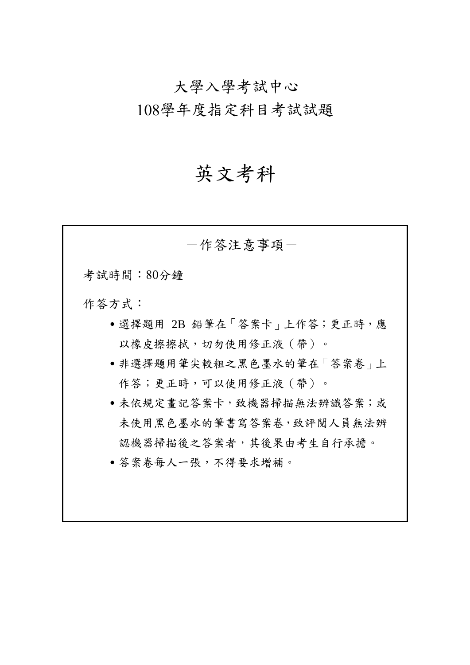# 大學入學考試中心

108學年度指定科目考試試題

# 英文考科

-作答注意事項- 考試時間:80分鐘 作答方式: ˙選擇題用 2B 鉛筆在「答案卡」上作答;更正時,應 以橡皮擦擦拭,切勿使用修正液(帶)。 • 非選擇題用筆尖較粗之黑色墨水的筆在「答案卷」上 作答;更正時,可以使用修正液(帶)。 ˙未依規定畫記答案卡,致機器掃描無法辨識答案;或 未使用黑色墨水的筆書寫答案卷,致評閱人員無法辨 認機器掃描後之答案者,其後果由考生自行承擔。 ˙答案卷每人一張,不得要求增補。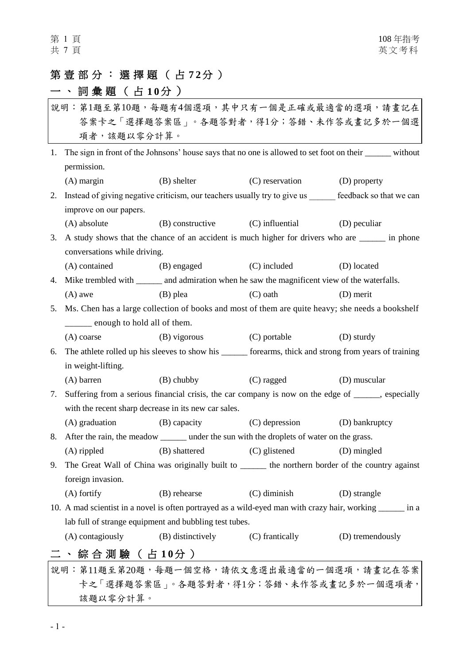# 第壹部分:選擇 題 ( 占 **7 2** 分 )

# 一、詞彙題 (占10分)

| 說明:第1題至第10題,每題有4個選項,其中只有一個是正確或最適當的選項,請畫記在 |                                                                                                             |                                                                                                    |                               |                  |  |
|-------------------------------------------|-------------------------------------------------------------------------------------------------------------|----------------------------------------------------------------------------------------------------|-------------------------------|------------------|--|
| 答案卡之「選擇題答案區」。各題答對者,得1分;答錯、未作答或畫記多於一個選     |                                                                                                             |                                                                                                    |                               |                  |  |
| 項者,該題以零分計算。                               |                                                                                                             |                                                                                                    |                               |                  |  |
|                                           | 1. The sign in front of the Johnsons' house says that no one is allowed to set foot on their ______ without |                                                                                                    |                               |                  |  |
|                                           | permission.                                                                                                 |                                                                                                    |                               |                  |  |
|                                           | $(A)$ margin                                                                                                | (B) shelter                                                                                        | (C) reservation               | (D) property     |  |
| 2.                                        | Instead of giving negative criticism, our teachers usually try to give us feedback so that we can           |                                                                                                    |                               |                  |  |
|                                           | improve on our papers.                                                                                      |                                                                                                    |                               |                  |  |
|                                           | (A) absolute                                                                                                | (B) constructive (C) influential                                                                   |                               | (D) peculiar     |  |
| 3.                                        | A study shows that the chance of an accident is much higher for drivers who are _______ in phone            |                                                                                                    |                               |                  |  |
|                                           | conversations while driving.                                                                                |                                                                                                    |                               |                  |  |
|                                           | (A) contained                                                                                               | (B) engaged                                                                                        | (C) included                  | (D) located      |  |
| 4.                                        | Mike trembled with _______ and admiration when he saw the magnificent view of the waterfalls.               |                                                                                                    |                               |                  |  |
|                                           | $(A)$ awe                                                                                                   | $(B)$ plea                                                                                         | $(C)$ oath                    | (D) merit        |  |
| 5.                                        | Ms. Chen has a large collection of books and most of them are quite heavy; she needs a bookshelf            |                                                                                                    |                               |                  |  |
|                                           | _____ enough to hold all of them.                                                                           |                                                                                                    |                               |                  |  |
|                                           | $(A)$ coarse                                                                                                | (B) vigorous                                                                                       | (C) portable                  | (D) sturdy       |  |
| 6.                                        | The athlete rolled up his sleeves to show his ________ forearms, thick and strong from years of training    |                                                                                                    |                               |                  |  |
|                                           | in weight-lifting.                                                                                          |                                                                                                    |                               |                  |  |
|                                           | $(A)$ barren                                                                                                | $(B)$ chubby                                                                                       | (C) ragged                    | (D) muscular     |  |
| 7.                                        |                                                                                                             | Suffering from a serious financial crisis, the car company is now on the edge of _____, especially |                               |                  |  |
|                                           | with the recent sharp decrease in its new car sales.                                                        |                                                                                                    |                               |                  |  |
|                                           | (A) graduation                                                                                              | (B) capacity                                                                                       | (C) depression (D) bankruptcy |                  |  |
| 8.                                        |                                                                                                             | After the rain, the meadow _______ under the sun with the droplets of water on the grass.          |                               |                  |  |
|                                           | $(A)$ rippled                                                                                               | (B) shattered                                                                                      | (C) glistened                 | (D) mingled      |  |
| 9.                                        |                                                                                                             | The Great Wall of China was originally built to _______ the northern border of the country against |                               |                  |  |
|                                           | foreign invasion.                                                                                           |                                                                                                    |                               |                  |  |
|                                           | $(A)$ fortify                                                                                               | (B) rehearse                                                                                       | $(C)$ diminish                | (D) strangle     |  |
|                                           | 10. A mad scientist in a novel is often portrayed as a wild-eyed man with crazy hair, working ______ in a   |                                                                                                    |                               |                  |  |
|                                           |                                                                                                             | lab full of strange equipment and bubbling test tubes.                                             |                               |                  |  |
|                                           | (A) contagiously                                                                                            | (B) distinctively                                                                                  | (C) frantically               | (D) tremendously |  |
|                                           | 、 綜 合 測 驗 ( 占 10分 )                                                                                         |                                                                                                    |                               |                  |  |
|                                           | 說明:第11題至第20題,每題一個空格,請依文意選出最適當的一個選項,請畫記在答案                                                                   |                                                                                                    |                               |                  |  |
| 卡之「選擇題答案區」。各題答對者,得1分;答錯、未作答或畫記多於一個選項者,    |                                                                                                             |                                                                                                    |                               |                  |  |
|                                           | 該題以零分計算。                                                                                                    |                                                                                                    |                               |                  |  |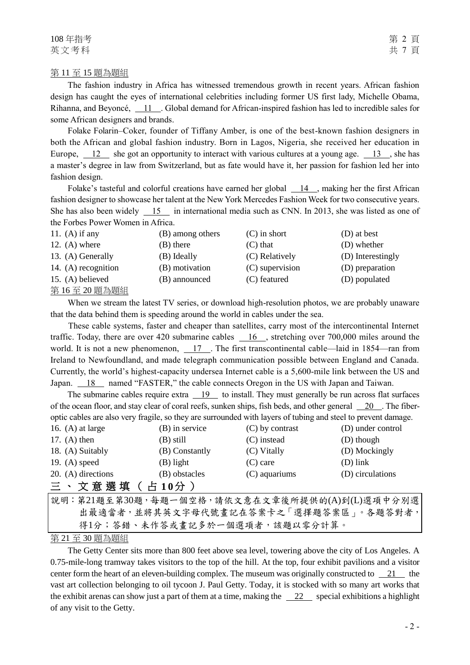108 年指考 第 2 頁 英文考科 スカッシュ スカッシュ スカット おおとこ おおとこ おおとこ 共 7 頁

#### 第 11 至 15 題為題組

The fashion industry in Africa has witnessed tremendous growth in recent years. African fashion design has caught the eyes of international celebrities including former US first lady, Michelle Obama, Rihanna, and Beyoncé, 11 . Global demand for African-inspired fashion has led to incredible sales for some African designers and brands.

Folake Folarin–Coker, founder of Tiffany Amber, is one of the best-known fashion designers in both the African and global fashion industry. Born in Lagos, Nigeria, she received her education in Europe,  $\frac{12}{13}$  she got an opportunity to interact with various cultures at a young age.  $\frac{13}{13}$ , she has a master's degree in law from Switzerland, but as fate would have it, her passion for fashion led her into fashion design.

Folake's tasteful and colorful creations have earned her global  $14$ , making her the first African fashion designer to showcase her talent at the New York Mercedes Fashion Week for two consecutive years. She has also been widely  $\frac{15}{15}$  in international media such as CNN. In 2013, she was listed as one of the Forbes Power Women in Africa.

| 11. (A) if any      | (B) among others | $(C)$ in short  | (D) at best       |
|---------------------|------------------|-----------------|-------------------|
| 12. $(A)$ where     | (B) there        | $(C)$ that      | (D) whether       |
| 13. (A) Generally   | (B) Ideally      | (C) Relatively  | (D) Interestingly |
| 14. (A) recognition | (B) motivation   | (C) supervision | (D) preparation   |
| 15. (A) believed    | (B) announced    | (C) featured    | (D) populated     |
| 第16至20題為題組          |                  |                 |                   |

When we stream the latest TV series, or download high-resolution photos, we are probably unaware that the data behind them is speeding around the world in cables under the sea.

These cable systems, faster and cheaper than satellites, carry most of the intercontinental Internet traffic. Today, there are over 420 submarine cables  $16$ , stretching over 700,000 miles around the world. It is not a new phenomenon,  $\frac{17}{17}$ . The first transcontinental cable—laid in 1854—ran from Ireland to Newfoundland, and made telegraph communication possible between England and Canada. Currently, the world's highest-capacity undersea Internet cable is a 5,600-mile link between the US and Japan. 18 named "FASTER," the cable connects Oregon in the US with Japan and Taiwan.

The submarine cables require extra 19 to install. They must generally be run across flat surfaces of the ocean floor, and stay clear of coral reefs, sunken ships, fish beds, and other general 20. The fiberoptic cables are also very fragile, so they are surrounded with layers of tubing and steel to prevent damage.

| 16. $(A)$ at large | (B) in service | $(C)$ by contrast | (D) under control |
|--------------------|----------------|-------------------|-------------------|
| 17. $(A)$ then     | (B) still      | (C) instead       | (D) though        |
| 18. (A) Suitably   | (B) Constantly | (C) Vitally       | (D) Mockingly     |
| 19. $(A)$ speed    | (B) light      | $(C)$ care        | $(D)$ link        |
| 20. (A) directions | (B) obstacles  | $(C)$ aquariums   | (D) circulations  |
| 三、文意選填(占10分)       |                |                   |                   |

說明:第21題至第30題,每題一個空格,請依文意在文章後所提供的(A)到(L)選項中分別選 出最適當者,並將其英文字母代號畫記在答案卡之「選擇題答案區」。各題答對者, 得1分;答錯、未作答或畫記多於一個選項者,該題以零分計算。

第 21 至 30 題為題組

The Getty Center sits more than 800 feet above sea level, towering above the city of Los Angeles. A 0.75-mile-long tramway takes visitors to the top of the hill. At the top, four exhibit pavilions and a visitor center form the heart of an eleven-building complex. The museum was originally constructed to  $\frac{21}{10}$  the vast art collection belonging to oil tycoon J. Paul Getty. Today, it is stocked with so many art works that the exhibit arenas can show just a part of them at a time, making the  $\frac{22}{2}$  special exhibitions a highlight of any visit to the Getty.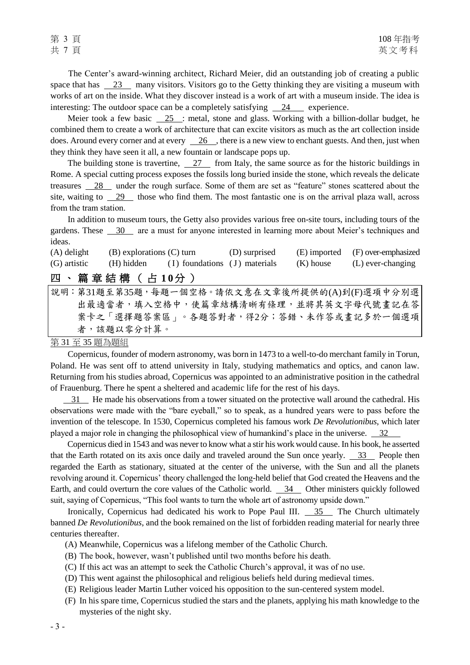The Center's award-winning architect, Richard Meier, did an outstanding job of creating a public space that has  $\frac{23}{10}$  many visitors. Visitors go to the Getty thinking they are visiting a museum with works of art on the inside. What they discover instead is a work of art with a museum inside. The idea is interesting: The outdoor space can be a completely satisfying  $\frac{24}{ }$  experience.

Meier took a few basic 25 : metal, stone and glass. Working with a billion-dollar budget, he combined them to create a work of architecture that can excite visitors as much as the art collection inside does. Around every corner and at every  $\sqrt{26}$ , there is a new view to enchant guests. And then, just when they think they have seen it all, a new fountain or landscape pops up.

The building stone is travertine, 27 from Italy, the same source as for the historic buildings in Rome. A special cutting process exposes the fossils long buried inside the stone, which reveals the delicate treasures 28 under the rough surface. Some of them are set as "feature" stones scattered about the site, waiting to 29 those who find them. The most fantastic one is on the arrival plaza wall, across from the tram station.

In addition to museum tours, the Getty also provides various free on-site tours, including tours of the gardens. These 30 are a must for anyone interested in learning more about Meier's techniques and ideas.

| $(A)$ delight | (B) explorations (C) turn |                                          | (D) surprised |           | (E) imported (F) over-emphasized |
|---------------|---------------------------|------------------------------------------|---------------|-----------|----------------------------------|
| (G) artistic  |                           | (H) hidden (I) foundations (J) materials |               | (K) house | (L) ever-changing                |
|               | 四、篇章結構(占10分)              |                                          |               |           |                                  |

說明:第31題至第35題,每題一個空格。請依文意在文章後所提供的(A)到(F)選項中分別選 出最適當者,填入空格中,使篇章結構清晰有條理,並將其英文字母代號書記在答 案卡之「選擇題答案區」。各題答對者,得2分;答錯、未作答或畫記多於一個選項 者,該題以零分計算。

第 31 至 35 題為題組

Copernicus, founder of modern astronomy, was born in 1473 to a well-to-do merchant family in Torun, Poland. He was sent off to attend university in Italy, studying mathematics and optics, and canon law. Returning from his studies abroad, Copernicus was appointed to an administrative position in the cathedral of Frauenburg. There he spent a sheltered and academic life for the rest of his days.

 31 He made his observations from a tower situated on the protective wall around the cathedral. His observations were made with the "bare eyeball," so to speak, as a hundred years were to pass before the invention of the telescope. In 1530, Copernicus completed his famous work *De Revolutionibus*, which later played a major role in changing the philosophical view of humankind's place in the universe. 32

Copernicus died in 1543 and was never to know what a stir his work would cause. In his book, he asserted that the Earth rotated on its axis once daily and traveled around the Sun once yearly.  $\frac{33}{10}$  People then regarded the Earth as stationary, situated at the center of the universe, with the Sun and all the planets revolving around it. Copernicus' theory challenged the long-held belief that God created the Heavens and the Earth, and could overturn the core values of the Catholic world. 34 Other ministers quickly followed suit, saying of Copernicus, "This fool wants to turn the whole art of astronomy upside down."

Ironically, Copernicus had dedicated his work to Pope Paul III. 35 The Church ultimately banned *De Revolutionibus*, and the book remained on the list of forbidden reading material for nearly three centuries thereafter.

- (A) Meanwhile, Copernicus was a lifelong member of the Catholic Church.
- (B) The book, however, wasn't published until two months before his death.
- (C) If this act was an attempt to seek the Catholic Church's approval, it was of no use.
- (D) This went against the philosophical and religious beliefs held during medieval times.
- (E) Religious leader Martin Luther voiced his opposition to the sun-centered system model.
- (F) In his spare time, Copernicus studied the stars and the planets, applying his math knowledge to the mysteries of the night sky.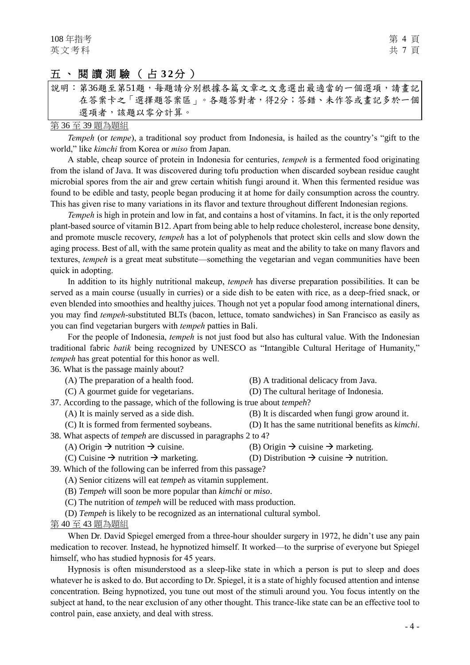# 五、閱讀測驗 ( 占 **3 2**分 )

|  | 說明:第36題至第51題,每題請分別根據各篇文章之文意選出最適當的一個選項,請畫記 |
|--|-------------------------------------------|
|  | 在答案卡之「選擇題答案區」。各題答對者,得2分;答錯、未作答或畫記多於一個     |
|  | 選項者,該題以零分計算。                              |

#### 第 36 至 39 題為題組

*Tempeh* (or *tempe*), a traditional soy product from Indonesia, is hailed as the country's "gift to the world," like *kimchi* from Korea or *miso* from Japan.

A stable, cheap source of protein in Indonesia for centuries, *tempeh* is a fermented food originating from the island of Java. It was discovered during tofu production when discarded soybean residue caught microbial spores from the air and grew certain whitish fungi around it. When this fermented residue was found to be edible and tasty, people began producing it at home for daily consumption across the country. This has given rise to many variations in its flavor and texture throughout different Indonesian regions.

*Tempeh* is high in protein and low in fat, and contains a host of vitamins. In fact, it is the only reported plant-based source of vitamin B12. Apart from being able to help reduce cholesterol, increase bone density, and promote muscle recovery, *tempeh* has a lot of polyphenols that protect skin cells and slow down the aging process. Best of all, with the same protein quality as meat and the ability to take on many flavors and textures, *tempeh* is a great meat substitute—something the vegetarian and vegan communities have been quick in adopting.

In addition to its highly nutritional makeup, *tempeh* has diverse preparation possibilities. It can be served as a main course (usually in curries) or a side dish to be eaten with rice, as a deep-fried snack, or even blended into smoothies and healthy juices. Though not yet a popular food among international diners, you may find *tempeh*-substituted BLTs (bacon, lettuce, tomato sandwiches) in San Francisco as easily as you can find vegetarian burgers with *tempeh* patties in Bali.

For the people of Indonesia, *tempeh* is not just food but also has cultural value. With the Indonesian traditional fabric *batik* being recognized by UNESCO as "Intangible Cultural Heritage of Humanity," *tempeh* has great potential for this honor as well.

36. What is the passage mainly about?

- 
- 
- (A) The preparation of a health food. (B) A traditional delicacy from Java.
- (C) A gourmet guide for vegetarians. (D) The cultural heritage of Indonesia.

37. According to the passage, which of the following is true about *tempeh*?

- (A) It is mainly served as a side dish. (B) It is discarded when fungi grow around it.
- (C) It is formed from fermented soybeans. (D) It has the same nutritional benefits as *kimchi*.
- 38. What aspects of *tempeh* are discussed in paragraphs 2 to 4?
	- (A) Origin  $\rightarrow$  nutrition  $\rightarrow$  cuisine. (B) Origin  $\rightarrow$  cuisine  $\rightarrow$  marketing.
	-
- 
- (C) Cuisine  $\rightarrow$  nutrition  $\rightarrow$  marketing. (D) Distribution  $\rightarrow$  cuisine  $\rightarrow$  nutrition.
- 39. Which of the following can be inferred from this passage?
	- (A) Senior citizens will eat *tempeh* as vitamin supplement.
		- (B) *Tempeh* will soon be more popular than *kimchi* or *miso*.
		- (C) The nutrition of *tempeh* will be reduced with mass production.
	- (D) *Tempeh* is likely to be recognized as an international cultural symbol.
- 第 40 至 43 題為題組

When Dr. David Spiegel emerged from a three-hour shoulder surgery in 1972, he didn't use any pain medication to recover. Instead, he hypnotized himself. It worked—to the surprise of everyone but Spiegel himself, who has studied hypnosis for 45 years.

Hypnosis is often misunderstood as a sleep-like state in which a person is put to sleep and does whatever he is asked to do. But according to Dr. Spiegel, it is a state of highly focused attention and intense concentration. Being hypnotized, you tune out most of the stimuli around you. You focus intently on the subject at hand, to the near exclusion of any other thought. This trance-like state can be an effective tool to control pain, ease anxiety, and deal with stress.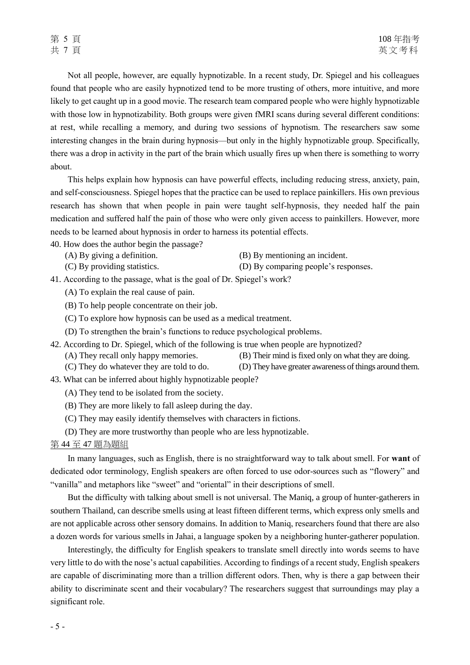Not all people, however, are equally hypnotizable. In a recent study, Dr. Spiegel and his colleagues found that people who are easily hypnotized tend to be more trusting of others, more intuitive, and more likely to get caught up in a good movie. The research team compared people who were highly hypnotizable with those low in hypnotizability. Both groups were given fMRI scans during several different conditions: at rest, while recalling a memory, and during two sessions of hypnotism. The researchers saw some interesting changes in the brain during hypnosis—but only in the highly hypnotizable group. Specifically, there was a drop in activity in the part of the brain which usually fires up when there is something to worry about.

This helps explain how hypnosis can have powerful effects, including reducing stress, anxiety, pain, and self-consciousness. Spiegel hopes that the practice can be used to replace painkillers. His own previous research has shown that when people in pain were taught self-hypnosis, they needed half the pain medication and suffered half the pain of those who were only given access to painkillers. However, more needs to be learned about hypnosis in order to harness its potential effects.

40. How does the author begin the passage?

- 
- (A) By giving a definition. (B) By mentioning an incident.
- (C) By providing statistics. (D) By comparing people's responses.

41. According to the passage, what is the goal of Dr. Spiegel's work?

(A) To explain the real cause of pain.

(B) To help people concentrate on their job.

- (C) To explore how hypnosis can be used as a medical treatment.
- (D) To strengthen the brain's functions to reduce psychological problems.
- 42. According to Dr. Spiegel, which of the following is true when people are hypnotized? (A) They recall only happy memories. (B) Their mind is fixed only on what they are doing.
	- (C) They do whatever they are told to do. (D) They have greater awareness of things around them.

43. What can be inferred about highly hypnotizable people?

- (A) They tend to be isolated from the society.
- (B) They are more likely to fall asleep during the day.
- (C) They may easily identify themselves with characters in fictions.
- (D) They are more trustworthy than people who are less hypnotizable.

#### 第 44 至 47 題為題組

In many languages, such as English, there is no straightforward way to talk about smell. For **want** of dedicated odor terminology, English speakers are often forced to use odor-sources such as "flowery" and "vanilla" and metaphors like "sweet" and "oriental" in their descriptions of smell.

But the difficulty with talking about smell is not universal. The Maniq, a group of hunter-gatherers in southern Thailand, can describe smells using at least fifteen different terms, which express only smells and are not applicable across other sensory domains. In addition to Maniq, researchers found that there are also a dozen words for various smells in Jahai, a language spoken by a neighboring hunter-gatherer population.

Interestingly, the difficulty for English speakers to translate smell directly into words seems to have very little to do with the nose's actual capabilities. According to findings of a recent study, English speakers are capable of discriminating more than a trillion different odors. Then, why is there a gap between their ability to discriminate scent and their vocabulary? The researchers suggest that surroundings may play a significant role.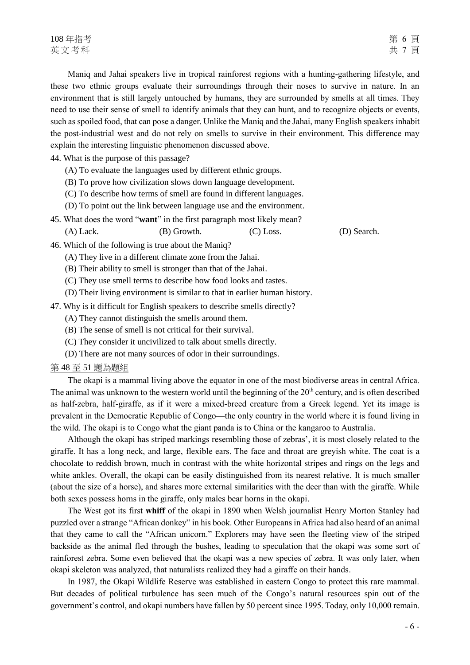Maniq and Jahai speakers live in tropical rainforest regions with a hunting-gathering lifestyle, and these two ethnic groups evaluate their surroundings through their noses to survive in nature. In an environment that is still largely untouched by humans, they are surrounded by smells at all times. They need to use their sense of smell to identify animals that they can hunt, and to recognize objects or events, such as spoiled food, that can pose a danger. Unlike the Maniq and the Jahai, many English speakers inhabit the post-industrial west and do not rely on smells to survive in their environment. This difference may explain the interesting linguistic phenomenon discussed above.

44. What is the purpose of this passage?

- (A) To evaluate the languages used by different ethnic groups.
- (B) To prove how civilization slows down language development.
- (C) To describe how terms of smell are found in different languages.
- (D) To point out the link between language use and the environment.
- 45. What does the word "**want**" in the first paragraph most likely mean? (A) Lack. (B) Growth. (C) Loss. (D) Search.
- 46. Which of the following is true about the Maniq?
	- (A) They live in a different climate zone from the Jahai.
	- (B) Their ability to smell is stronger than that of the Jahai.
	- (C) They use smell terms to describe how food looks and tastes.
	- (D) Their living environment is similar to that in earlier human history.
- 47. Why is it difficult for English speakers to describe smells directly?
	- (A) They cannot distinguish the smells around them.
	- (B) The sense of smell is not critical for their survival.
	- (C) They consider it uncivilized to talk about smells directly.
	- (D) There are not many sources of odor in their surroundings.

#### 第 48 至 51 題為題組

The okapi is a mammal living above the equator in one of the most biodiverse areas in central Africa. The animal was unknown to the western world until the beginning of the  $20<sup>th</sup>$  century, and is often described as half-zebra, half-giraffe, as if it were a mixed-breed creature from a Greek legend. Yet its image is prevalent in the Democratic Republic of Congo—the only country in the world where it is found living in the wild. The okapi is to Congo what the giant panda is to China or the kangaroo to Australia.

Although the okapi has striped markings resembling those of zebras', it is most closely related to the giraffe. It has a long neck, and large, flexible ears. The face and throat are greyish white. The coat is a chocolate to reddish brown, much in contrast with the white horizontal stripes and rings on the legs and white ankles. Overall, the okapi can be easily distinguished from its nearest relative. It is much smaller (about the size of a horse), and shares more external similarities with the deer than with the giraffe. While both sexes possess horns in the giraffe, only males bear horns in the okapi.

The West got its first **whiff** of the okapi in 1890 when Welsh journalist Henry Morton Stanley had puzzled over a strange "African donkey" in his book. Other Europeans in Africa had also heard of an animal that they came to call the "African unicorn." Explorers may have seen the fleeting view of the striped backside as the animal fled through the bushes, leading to speculation that the okapi was some sort of rainforest zebra. Some even believed that the okapi was a new species of zebra. It was only later, when okapi skeleton was analyzed, that naturalists realized they had a giraffe on their hands.

In 1987, the Okapi Wildlife Reserve was established in eastern Congo to protect this rare mammal. But decades of political turbulence has seen much of the Congo's natural resources spin out of the government's control, and okapi numbers have fallen by 50 percent since 1995. Today, only 10,000 remain.